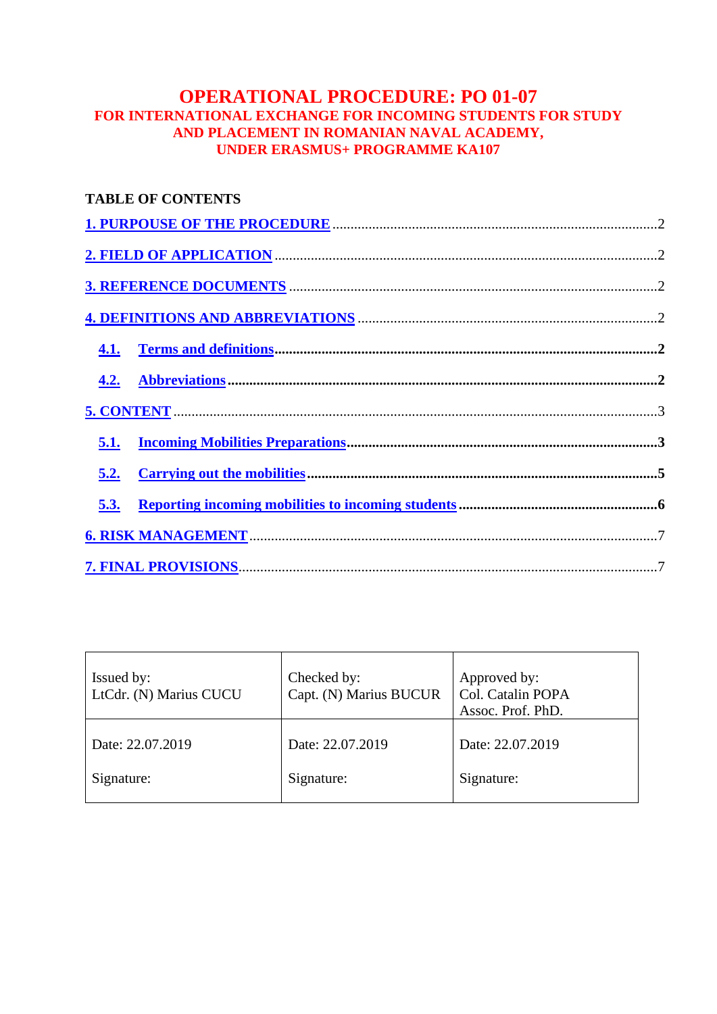# **OPERATIONAL PROCEDURE: PO 01-07 FOR INTERNATIONAL EXCHANGE FOR INCOMING STUDENTS FOR STUDY AND PLACEMENT IN ROMANIAN NAVAL ACADEMY, UNDER ERASMUS+ PROGRAMME KA107**

|      | <b>TABLE OF CONTENTS</b> |  |
|------|--------------------------|--|
|      |                          |  |
|      |                          |  |
|      |                          |  |
|      |                          |  |
|      |                          |  |
| 4.2. |                          |  |
|      |                          |  |
| 5.1. |                          |  |
| 5.2. |                          |  |
| 5.3. |                          |  |
|      |                          |  |
|      |                          |  |

| Issued by:<br>LtCdr. (N) Marius CUCU | Checked by:<br>Capt. (N) Marius BUCUR | Approved by:<br>Col. Catalin POPA<br>Assoc. Prof. PhD. |
|--------------------------------------|---------------------------------------|--------------------------------------------------------|
| Date: 22.07.2019                     | Date: 22.07.2019                      | Date: 22.07.2019                                       |
| Signature:                           | Signature:                            | Signature:                                             |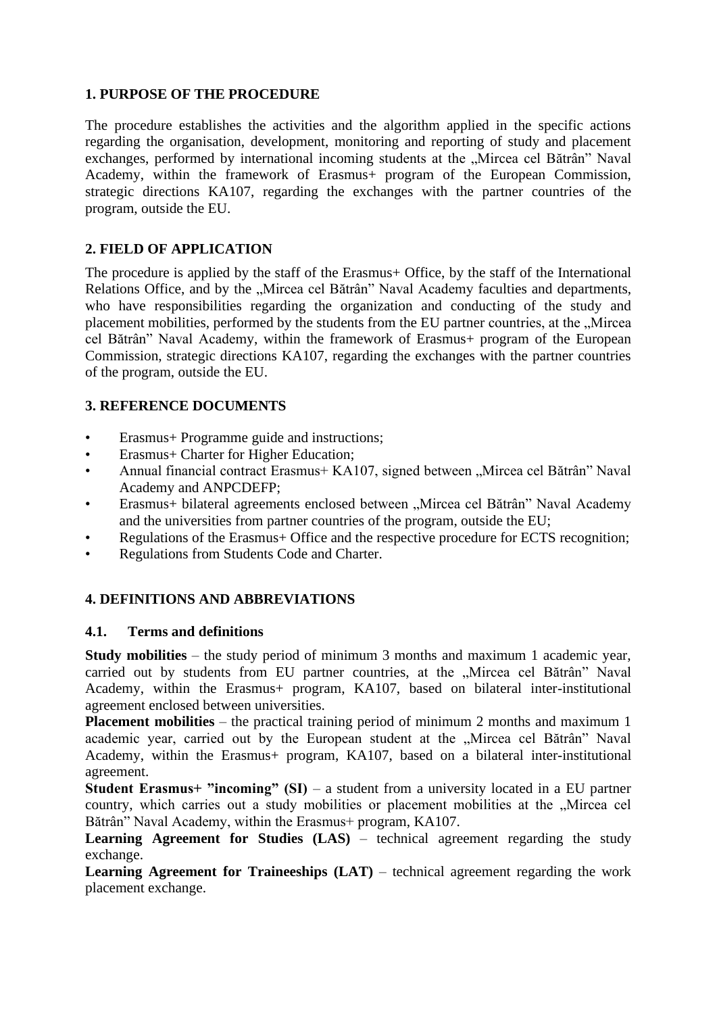### **1. PURPOSE OF THE PROCEDURE**

The procedure establishes the activities and the algorithm applied in the specific actions regarding the organisation, development, monitoring and reporting of study and placement exchanges, performed by international incoming students at the "Mircea cel Bătrân" Naval Academy, within the framework of Erasmus+ program of the European Commission, strategic directions KA107, regarding the exchanges with the partner countries of the program, outside the EU.

# **2. FIELD OF APPLICATION**

The procedure is applied by the staff of the Erasmus+ Office, by the staff of the International Relations Office, and by the "Mircea cel Bătrân" Naval Academy faculties and departments, who have responsibilities regarding the organization and conducting of the study and placement mobilities, performed by the students from the EU partner countries, at the "Mircea cel Bătrân" Naval Academy, within the framework of Erasmus+ program of the European Commission, strategic directions KA107, regarding the exchanges with the partner countries of the program, outside the EU.

## **3. REFERENCE DOCUMENTS**

- Erasmus+ Programme guide and instructions;
- Erasmus+ Charter for Higher Education;
- Annual financial contract Erasmus+ KA107, signed between "Mircea cel Bătrân" Naval Academy and ANPCDEFP;
- Erasmus+ bilateral agreements enclosed between "Mircea cel Bătrân" Naval Academy and the universities from partner countries of the program, outside the EU;
- Regulations of the Erasmus+ Office and the respective procedure for ECTS recognition;
- Regulations from Students Code and Charter.

# **4. DEFINITIONS AND ABBREVIATIONS**

### **4.1. Terms and definitions**

**Study mobilities** – the study period of minimum 3 months and maximum 1 academic year, carried out by students from EU partner countries, at the "Mircea cel Bătrân" Naval Academy, within the Erasmus+ program, KA107, based on bilateral inter-institutional agreement enclosed between universities.

**Placement mobilities** – the practical training period of minimum 2 months and maximum 1 academic year, carried out by the European student at the "Mircea cel Bătrân" Naval Academy, within the Erasmus+ program, KA107, based on a bilateral inter-institutional agreement.

**Student Erasmus+ "incoming" (SI)** – a student from a university located in a EU partner country, which carries out a study mobilities or placement mobilities at the "Mircea cel Bătrân" Naval Academy, within the Erasmus+ program, KA107.

**Learning Agreement for Studies (LAS)** – technical agreement regarding the study exchange.

**Learning Agreement for Traineeships (LAT)** – technical agreement regarding the work placement exchange.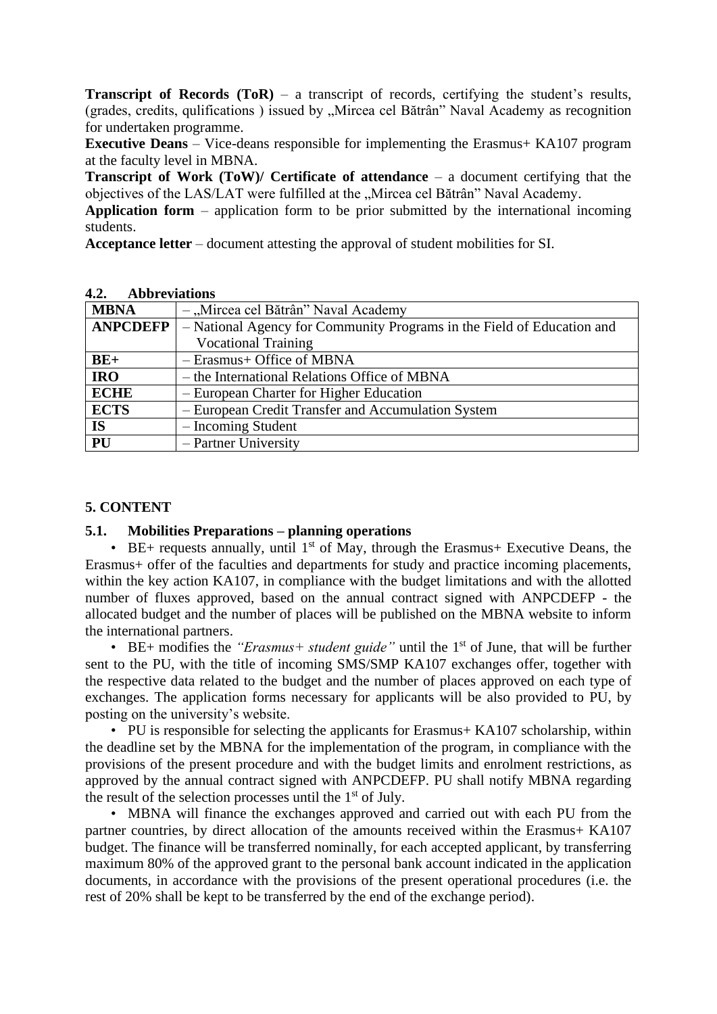**Transcript of Records (ToR)** – a transcript of records, certifying the student's results, (grades, credits, qulifications) issued by "Mircea cel Bătrân" Naval Academy as recognition for undertaken programme.

**Executive Deans** – Vice-deans responsible for implementing the Erasmus+ KA107 program at the faculty level in MBNA.

**Transcript of Work (ToW)/ Certificate of attendance** – a document certifying that the objectives of the LAS/LAT were fulfilled at the "Mircea cel Bătrân" Naval Academy.

**Application form** – application form to be prior submitted by the international incoming students.

**Acceptance letter** – document attesting the approval of student mobilities for SI.

| <b>MBNA</b>     | - "Mircea cel Bătrân" Naval Academy                                    |  |
|-----------------|------------------------------------------------------------------------|--|
| <b>ANPCDEFP</b> | - National Agency for Community Programs in the Field of Education and |  |
|                 | <b>Vocational Training</b>                                             |  |
| $BE+$           | - Erasmus+ Office of MBNA                                              |  |
| <b>IRO</b>      | – the International Relations Office of MBNA                           |  |
| <b>ECHE</b>     | - European Charter for Higher Education                                |  |
| <b>ECTS</b>     | - European Credit Transfer and Accumulation System                     |  |
| <b>IS</b>       | - Incoming Student                                                     |  |
| PU              | - Partner University                                                   |  |

#### **4.2. Abbreviations**

### **5. CONTENT**

### **5.1. Mobilities Preparations – planning operations**

• BE+ requests annually, until  $1<sup>st</sup>$  of May, through the Erasmus+ Executive Deans, the Erasmus+ offer of the faculties and departments for study and practice incoming placements, within the key action KA107, in compliance with the budget limitations and with the allotted number of fluxes approved, based on the annual contract signed with ANPCDEFP - the allocated budget and the number of places will be published on the MBNA website to inform the international partners.

• BE+ modifies the "*Erasmus+ student guide*" until the 1<sup>st</sup> of June, that will be further sent to the PU, with the title of incoming SMS/SMP KA107 exchanges offer, together with the respective data related to the budget and the number of places approved on each type of exchanges. The application forms necessary for applicants will be also provided to PU, by posting on the university's website.

• PU is responsible for selecting the applicants for Erasmus+ KA107 scholarship, within the deadline set by the MBNA for the implementation of the program, in compliance with the provisions of the present procedure and with the budget limits and enrolment restrictions, as approved by the annual contract signed with ANPCDEFP. PU shall notify MBNA regarding the result of the selection processes until the 1<sup>st</sup> of July.

• MBNA will finance the exchanges approved and carried out with each PU from the partner countries, by direct allocation of the amounts received within the Erasmus+ KA107 budget. The finance will be transferred nominally, for each accepted applicant, by transferring maximum 80% of the approved grant to the personal bank account indicated in the application documents, in accordance with the provisions of the present operational procedures (i.e. the rest of 20% shall be kept to be transferred by the end of the exchange period).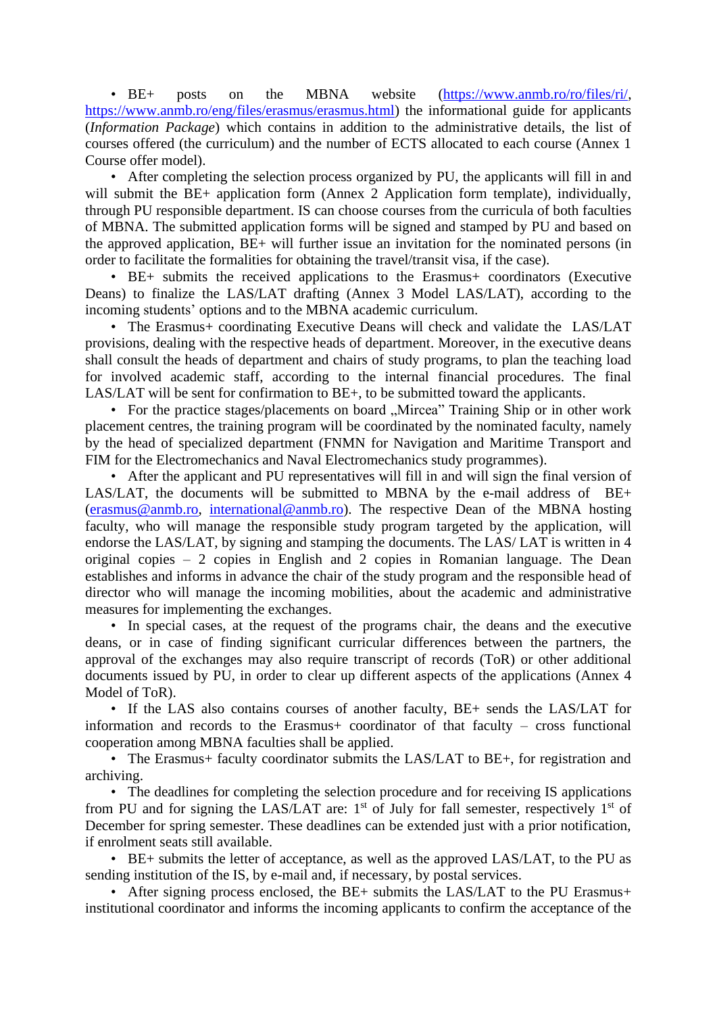• BE+ posts on the MBNA website [\(https://www.anmb.ro/ro/files/ri/,](https://www.anmb.ro/ro/files/ri/) [https://www.anmb.ro/eng/files/erasmus/erasmus.html\)](https://www.anmb.ro/eng/files/erasmus/erasmus.html) the informational guide for applicants (*Information Package*) which contains in addition to the administrative details, the list of courses offered (the curriculum) and the number of ECTS allocated to each course (Annex 1 Course offer model).

• After completing the selection process organized by PU, the applicants will fill in and will submit the BE+ application form (Annex 2 Application form template), individually, through PU responsible department. IS can choose courses from the curricula of both faculties of MBNA. The submitted application forms will be signed and stamped by PU and based on the approved application, BE+ will further issue an invitation for the nominated persons (in order to facilitate the formalities for obtaining the travel/transit visa, if the case).

• BE+ submits the received applications to the Erasmus+ coordinators (Executive Deans) to finalize the LAS/LAT drafting (Annex 3 Model LAS/LAT), according to the incoming students' options and to the MBNA academic curriculum.

• The Erasmus+ coordinating Executive Deans will check and validate the LAS/LAT provisions, dealing with the respective heads of department. Moreover, in the executive deans shall consult the heads of department and chairs of study programs, to plan the teaching load for involved academic staff, according to the internal financial procedures. The final LAS/LAT will be sent for confirmation to BE+, to be submitted toward the applicants.

• For the practice stages/placements on board "Mircea" Training Ship or in other work placement centres, the training program will be coordinated by the nominated faculty, namely by the head of specialized department (FNMN for Navigation and Maritime Transport and FIM for the Electromechanics and Naval Electromechanics study programmes).

• After the applicant and PU representatives will fill in and will sign the final version of LAS/LAT, the documents will be submitted to MBNA by the e-mail address of BE+ [\(erasmus@anmb.ro,](mailto:erasmus@anmb.ro) [international@anmb.ro\)](mailto:international@anmb.ro). The respective Dean of the MBNA hosting faculty, who will manage the responsible study program targeted by the application, will endorse the LAS/LAT, by signing and stamping the documents. The LAS/ LAT is written in 4 original copies – 2 copies in English and 2 copies in Romanian language. The Dean establishes and informs in advance the chair of the study program and the responsible head of director who will manage the incoming mobilities, about the academic and administrative measures for implementing the exchanges.

• In special cases, at the request of the programs chair, the deans and the executive deans, or in case of finding significant curricular differences between the partners, the approval of the exchanges may also require transcript of records (ToR) or other additional documents issued by PU, in order to clear up different aspects of the applications (Annex 4 Model of ToR).

• If the LAS also contains courses of another faculty, BE+ sends the LAS/LAT for information and records to the Erasmus+ coordinator of that faculty – cross functional cooperation among MBNA faculties shall be applied.

• The Erasmus+ faculty coordinator submits the LAS/LAT to BE+, for registration and archiving.

• The deadlines for completing the selection procedure and for receiving IS applications from PU and for signing the LAS/LAT are:  $1<sup>st</sup>$  of July for fall semester, respectively  $1<sup>st</sup>$  of December for spring semester. These deadlines can be extended just with a prior notification, if enrolment seats still available.

• BE+ submits the letter of acceptance, as well as the approved LAS/LAT, to the PU as sending institution of the IS, by e-mail and, if necessary, by postal services.

• After signing process enclosed, the BE+ submits the LAS/LAT to the PU Erasmus+ institutional coordinator and informs the incoming applicants to confirm the acceptance of the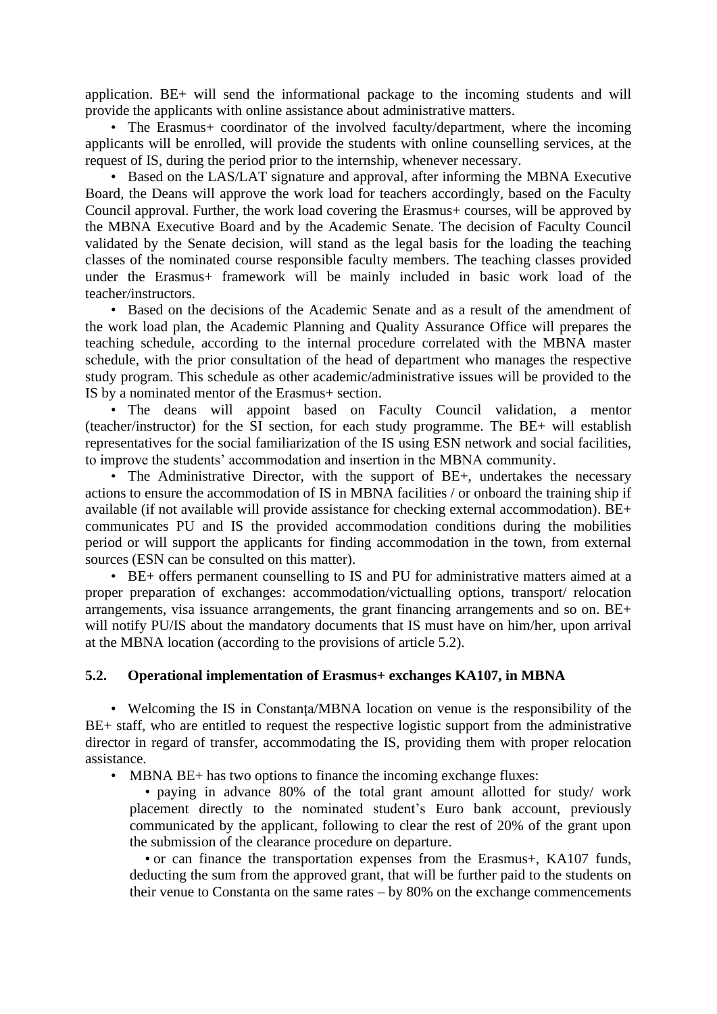application. BE+ will send the informational package to the incoming students and will provide the applicants with online assistance about administrative matters.

• The Erasmus + coordinator of the involved faculty/department, where the incoming applicants will be enrolled, will provide the students with online counselling services, at the request of IS, during the period prior to the internship, whenever necessary.

• Based on the LAS/LAT signature and approval, after informing the MBNA Executive Board, the Deans will approve the work load for teachers accordingly, based on the Faculty Council approval. Further, the work load covering the Erasmus+ courses, will be approved by the MBNA Executive Board and by the Academic Senate. The decision of Faculty Council validated by the Senate decision, will stand as the legal basis for the loading the teaching classes of the nominated course responsible faculty members. The teaching classes provided under the Erasmus+ framework will be mainly included in basic work load of the teacher/instructors.

• Based on the decisions of the Academic Senate and as a result of the amendment of the work load plan, the Academic Planning and Quality Assurance Office will prepares the teaching schedule, according to the internal procedure correlated with the MBNA master schedule, with the prior consultation of the head of department who manages the respective study program. This schedule as other academic/administrative issues will be provided to the IS by a nominated mentor of the Erasmus+ section.

• The deans will appoint based on Faculty Council validation, a mentor (teacher/instructor) for the SI section, for each study programme. The BE+ will establish representatives for the social familiarization of the IS using ESN network and social facilities, to improve the students' accommodation and insertion in the MBNA community.

• The Administrative Director, with the support of BE+, undertakes the necessary actions to ensure the accommodation of IS in MBNA facilities / or onboard the training ship if available (if not available will provide assistance for checking external accommodation). BE+ communicates PU and IS the provided accommodation conditions during the mobilities period or will support the applicants for finding accommodation in the town, from external sources (ESN can be consulted on this matter).

• BE+ offers permanent counselling to IS and PU for administrative matters aimed at a proper preparation of exchanges: accommodation/victualling options, transport/ relocation arrangements, visa issuance arrangements, the grant financing arrangements and so on. BE+ will notify PU/IS about the mandatory documents that IS must have on him/her, upon arrival at the MBNA location (according to the provisions of article 5.2).

### **5.2. Operational implementation of Erasmus+ exchanges KA107, in MBNA**

• Welcoming the IS in Constanta/MBNA location on venue is the responsibility of the BE+ staff, who are entitled to request the respective logistic support from the administrative director in regard of transfer, accommodating the IS, providing them with proper relocation assistance.

• MBNA BE+ has two options to finance the incoming exchange fluxes:

• paying in advance 80% of the total grant amount allotted for study/ work placement directly to the nominated student's Euro bank account, previously communicated by the applicant, following to clear the rest of 20% of the grant upon the submission of the clearance procedure on departure.

• or can finance the transportation expenses from the Erasmus+, KA107 funds, deducting the sum from the approved grant, that will be further paid to the students on their venue to Constanta on the same rates – by 80% on the exchange commencements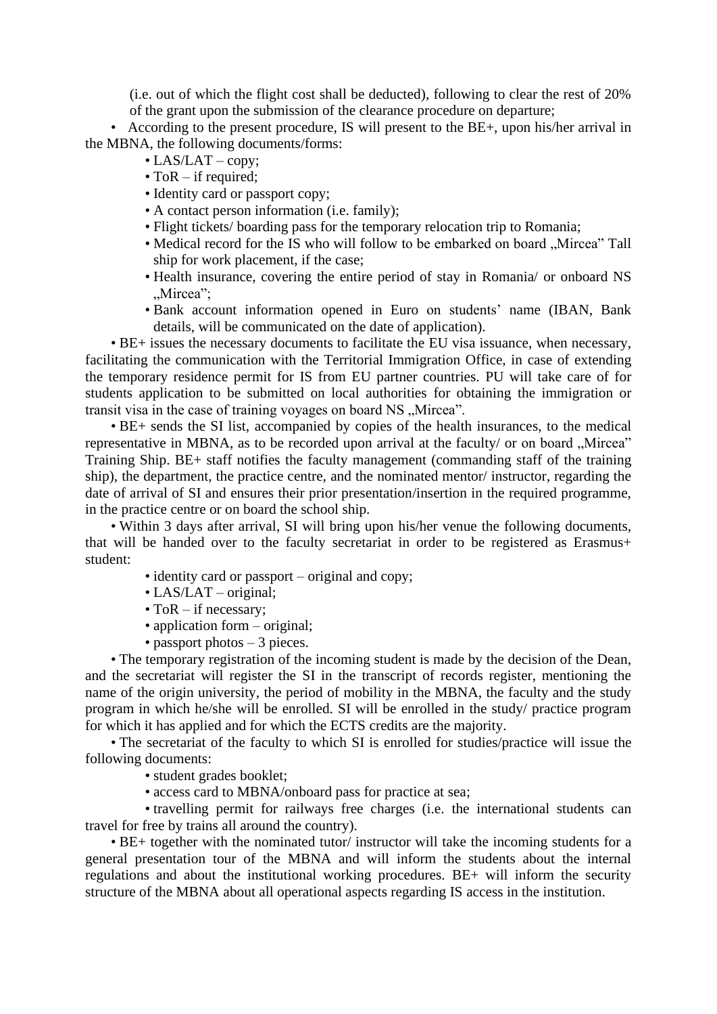(i.e. out of which the flight cost shall be deducted), following to clear the rest of 20% of the grant upon the submission of the clearance procedure on departure;

• According to the present procedure, IS will present to the BE+, upon his/her arrival in the MBNA, the following documents/forms:

- LAS/LAT copy;
- ToR if required;
- Identity card or passport copy;
- A contact person information (i.e. family);
- Flight tickets/ boarding pass for the temporary relocation trip to Romania;
- Medical record for the IS who will follow to be embarked on board "Mircea" Tall ship for work placement, if the case;
- Health insurance, covering the entire period of stay in Romania/ or onboard NS ".Mircea":
- Bank account information opened in Euro on students' name (IBAN, Bank details, will be communicated on the date of application).

• BE+ issues the necessary documents to facilitate the EU visa issuance, when necessary, facilitating the communication with the Territorial Immigration Office, in case of extending the temporary residence permit for IS from EU partner countries. PU will take care of for students application to be submitted on local authorities for obtaining the immigration or transit visa in the case of training voyages on board NS "Mircea".

• BE+ sends the SI list, accompanied by copies of the health insurances, to the medical representative in MBNA, as to be recorded upon arrival at the faculty/ or on board "Mircea" Training Ship. BE+ staff notifies the faculty management (commanding staff of the training ship), the department, the practice centre, and the nominated mentor/ instructor, regarding the date of arrival of SI and ensures their prior presentation/insertion in the required programme, in the practice centre or on board the school ship.

• Within 3 days after arrival, SI will bring upon his/her venue the following documents, that will be handed over to the faculty secretariat in order to be registered as Erasmus+ student:

- identity card or passport original and copy;
- LAS/LAT original;
- ToR if necessary;
- application form original;
- passport photos 3 pieces.

• The temporary registration of the incoming student is made by the decision of the Dean, and the secretariat will register the SI in the transcript of records register, mentioning the name of the origin university, the period of mobility in the MBNA, the faculty and the study program in which he/she will be enrolled. SI will be enrolled in the study/ practice program for which it has applied and for which the ECTS credits are the majority.

• The secretariat of the faculty to which SI is enrolled for studies/practice will issue the following documents:

• student grades booklet;

• access card to MBNA/onboard pass for practice at sea;

• travelling permit for railways free charges (i.e. the international students can travel for free by trains all around the country).

• BE+ together with the nominated tutor/ instructor will take the incoming students for a general presentation tour of the MBNA and will inform the students about the internal regulations and about the institutional working procedures. BE+ will inform the security structure of the MBNA about all operational aspects regarding IS access in the institution.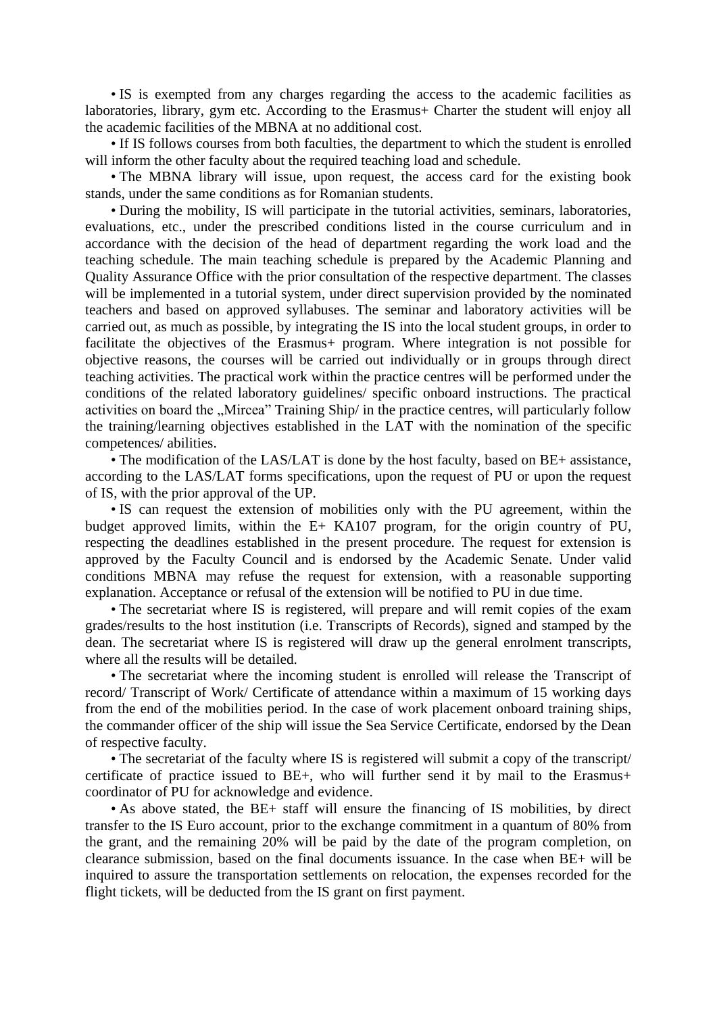• IS is exempted from any charges regarding the access to the academic facilities as laboratories, library, gym etc. According to the Erasmus+ Charter the student will enjoy all the academic facilities of the MBNA at no additional cost.

• If IS follows courses from both faculties, the department to which the student is enrolled will inform the other faculty about the required teaching load and schedule.

• The MBNA library will issue, upon request, the access card for the existing book stands, under the same conditions as for Romanian students.

• During the mobility, IS will participate in the tutorial activities, seminars, laboratories, evaluations, etc., under the prescribed conditions listed in the course curriculum and in accordance with the decision of the head of department regarding the work load and the teaching schedule. The main teaching schedule is prepared by the Academic Planning and Quality Assurance Office with the prior consultation of the respective department. The classes will be implemented in a tutorial system, under direct supervision provided by the nominated teachers and based on approved syllabuses. The seminar and laboratory activities will be carried out, as much as possible, by integrating the IS into the local student groups, in order to facilitate the objectives of the Erasmus+ program. Where integration is not possible for objective reasons, the courses will be carried out individually or in groups through direct teaching activities. The practical work within the practice centres will be performed under the conditions of the related laboratory guidelines/ specific onboard instructions. The practical activities on board the "Mircea" Training Ship/ in the practice centres, will particularly follow the training/learning objectives established in the LAT with the nomination of the specific competences/ abilities.

• The modification of the LAS/LAT is done by the host faculty, based on BE+ assistance, according to the LAS/LAT forms specifications, upon the request of PU or upon the request of IS, with the prior approval of the UP.

• IS can request the extension of mobilities only with the PU agreement, within the budget approved limits, within the E+ KA107 program, for the origin country of PU, respecting the deadlines established in the present procedure. The request for extension is approved by the Faculty Council and is endorsed by the Academic Senate. Under valid conditions MBNA may refuse the request for extension, with a reasonable supporting explanation. Acceptance or refusal of the extension will be notified to PU in due time.

• The secretariat where IS is registered, will prepare and will remit copies of the exam grades/results to the host institution (i.e. Transcripts of Records), signed and stamped by the dean. The secretariat where IS is registered will draw up the general enrolment transcripts, where all the results will be detailed.

• The secretariat where the incoming student is enrolled will release the Transcript of record/ Transcript of Work/ Certificate of attendance within a maximum of 15 working days from the end of the mobilities period. In the case of work placement onboard training ships, the commander officer of the ship will issue the Sea Service Certificate, endorsed by the Dean of respective faculty.

• The secretariat of the faculty where IS is registered will submit a copy of the transcript/ certificate of practice issued to BE+, who will further send it by mail to the Erasmus+ coordinator of PU for acknowledge and evidence.

• As above stated, the BE+ staff will ensure the financing of IS mobilities, by direct transfer to the IS Euro account, prior to the exchange commitment in a quantum of 80% from the grant, and the remaining 20% will be paid by the date of the program completion, on clearance submission, based on the final documents issuance. In the case when BE+ will be inquired to assure the transportation settlements on relocation, the expenses recorded for the flight tickets, will be deducted from the IS grant on first payment.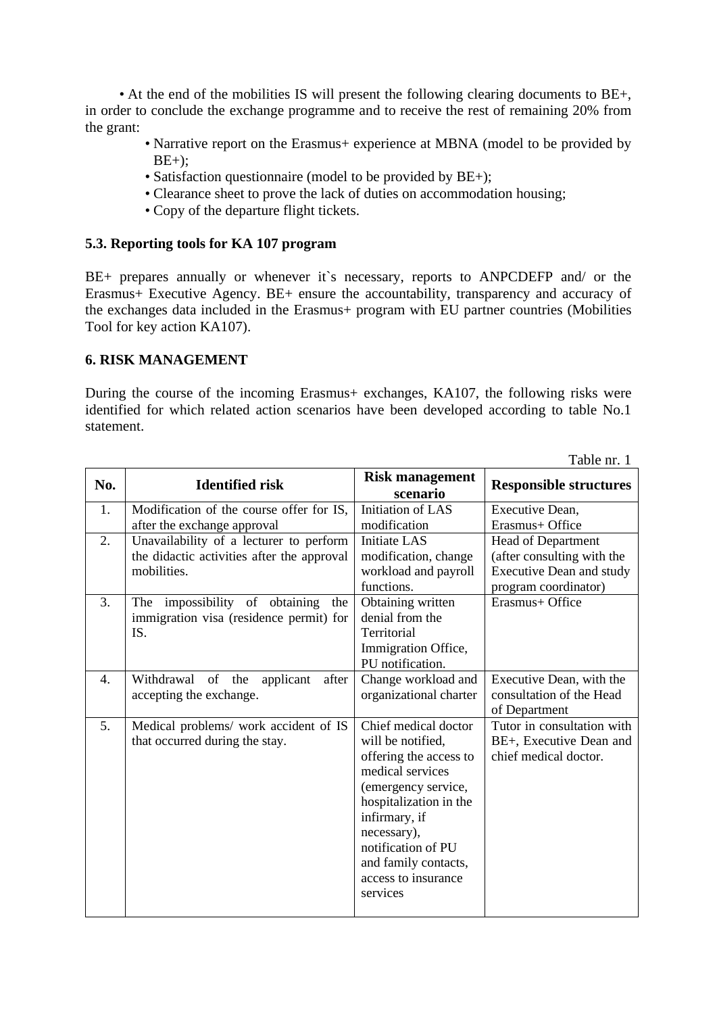• At the end of the mobilities IS will present the following clearing documents to BE+, in order to conclude the exchange programme and to receive the rest of remaining 20% from the grant:

- Narrative report on the Erasmus+ experience at MBNA (model to be provided by  $BE+)$ ;
- Satisfaction questionnaire (model to be provided by BE+);
- Clearance sheet to prove the lack of duties on accommodation housing;
- Copy of the departure flight tickets.

### **5.3. Reporting tools for KA 107 program**

BE+ prepares annually or whenever it`s necessary, reports to ANPCDEFP and/ or the Erasmus+ Executive Agency. BE+ ensure the accountability, transparency and accuracy of the exchanges data included in the Erasmus+ program with EU partner countries (Mobilities Tool for key action KA107).

### **6. RISK MANAGEMENT**

During the course of the incoming Erasmus+ exchanges, KA107, the following risks were identified for which related action scenarios have been developed according to table No.1 statement.

|     |                                                                                                      |                                                                                                                                                                                                                                                           | Table nr. 1                                                                                                 |
|-----|------------------------------------------------------------------------------------------------------|-----------------------------------------------------------------------------------------------------------------------------------------------------------------------------------------------------------------------------------------------------------|-------------------------------------------------------------------------------------------------------------|
| No. | <b>Identified risk</b>                                                                               | <b>Risk management</b><br>scenario                                                                                                                                                                                                                        | <b>Responsible structures</b>                                                                               |
| 1.  | Modification of the course offer for IS,<br>after the exchange approval                              | Initiation of LAS<br>modification                                                                                                                                                                                                                         | Executive Dean,<br>Erasmus+ Office                                                                          |
| 2.  | Unavailability of a lecturer to perform<br>the didactic activities after the approval<br>mobilities. | <b>Initiate LAS</b><br>modification, change<br>workload and payroll<br>functions.                                                                                                                                                                         | Head of Department<br>(after consulting with the<br><b>Executive Dean and study</b><br>program coordinator) |
| 3.  | The impossibility of obtaining<br>the<br>immigration visa (residence permit) for<br>IS.              | Obtaining written<br>denial from the<br>Territorial<br>Immigration Office,<br>PU notification.                                                                                                                                                            | Erasmus+ Office                                                                                             |
| 4.  | Withdrawal<br>of the<br>applicant<br>after<br>accepting the exchange.                                | Change workload and<br>organizational charter                                                                                                                                                                                                             | Executive Dean, with the<br>consultation of the Head<br>of Department                                       |
| 5.  | Medical problems/ work accident of IS<br>that occurred during the stay.                              | Chief medical doctor<br>will be notified.<br>offering the access to<br>medical services<br>(emergency service,<br>hospitalization in the<br>infirmary, if<br>necessary),<br>notification of PU<br>and family contacts,<br>access to insurance<br>services | Tutor in consultation with<br>BE+, Executive Dean and<br>chief medical doctor.                              |